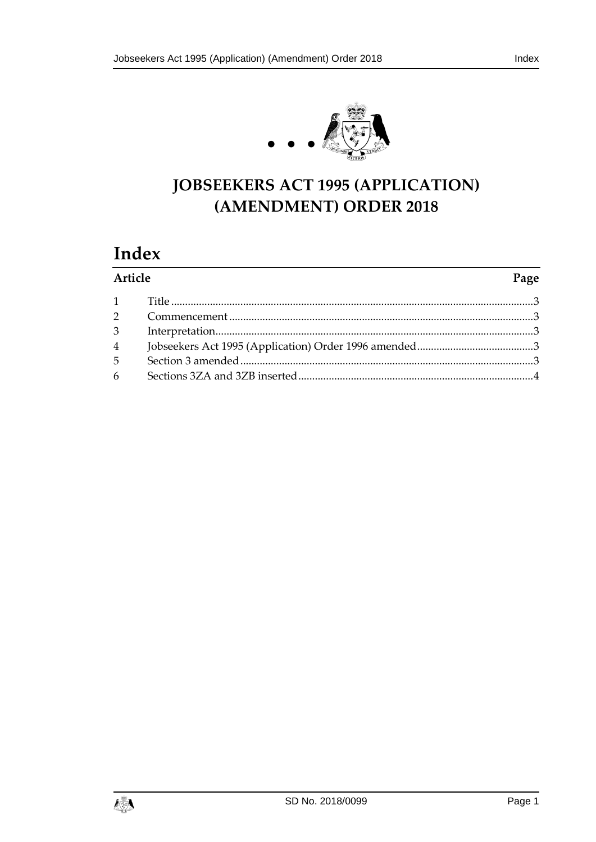

# **JOBSEEKERS ACT 1995 (APPLICATION) (AMENDMENT) ORDER 2018**

# **Index**

## **Article Page**

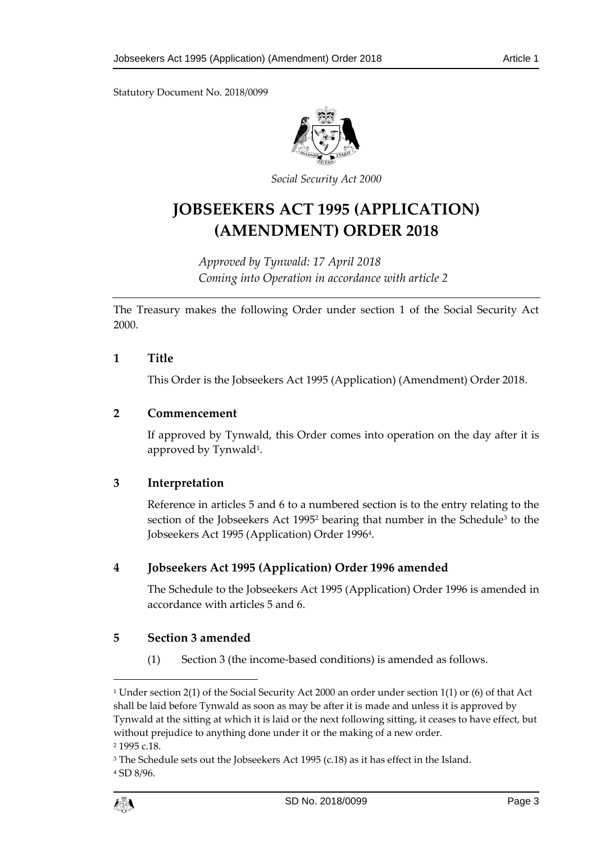Statutory Document No. 2018/0099



*Social Security Act 2000*

# **JOBSEEKERS ACT 1995 (APPLICATION) (AMENDMENT) ORDER 2018**

*Approved by Tynwald: 17 April 2018 Coming into Operation in accordance with article 2*

The Treasury makes the following Order under section 1 of the Social Security Act 2000.

#### <span id="page-2-0"></span>**1 Title**

This Order is the Jobseekers Act 1995 (Application) (Amendment) Order 2018.

#### <span id="page-2-1"></span>**2 Commencement**

If approved by Tynwald, this Order comes into operation on the day after it is approved by Tynwald<sup>1</sup>.

### <span id="page-2-2"></span>**3 Interpretation**

Reference in articles 5 and 6 to a numbered section is to the entry relating to the section of the Jobseekers Act 1995<sup>2</sup> bearing that number in the Schedule<sup>3</sup> to the Jobseekers Act 1995 (Application) Order 1996<sup>4</sup> .

### <span id="page-2-3"></span>**4 Jobseekers Act 1995 (Application) Order 1996 amended**

The Schedule to the Jobseekers Act 1995 (Application) Order 1996 is amended in accordance with articles 5 and 6.

### <span id="page-2-4"></span>**5 Section 3 amended**

(1) Section 3 (the income-based conditions) is amended as follows.

1

<sup>1</sup> Under section 2(1) of the Social Security Act 2000 an order under section 1(1) or (6) of that Act shall be laid before Tynwald as soon as may be after it is made and unless it is approved by Tynwald at the sitting at which it is laid or the next following sitting, it ceases to have effect, but without prejudice to anything done under it or the making of a new order.

<sup>2</sup> 1995 c.18.

<sup>&</sup>lt;sup>3</sup> The Schedule sets out the Jobseekers Act 1995 (c.18) as it has effect in the Island.

<sup>4</sup> SD 8/96.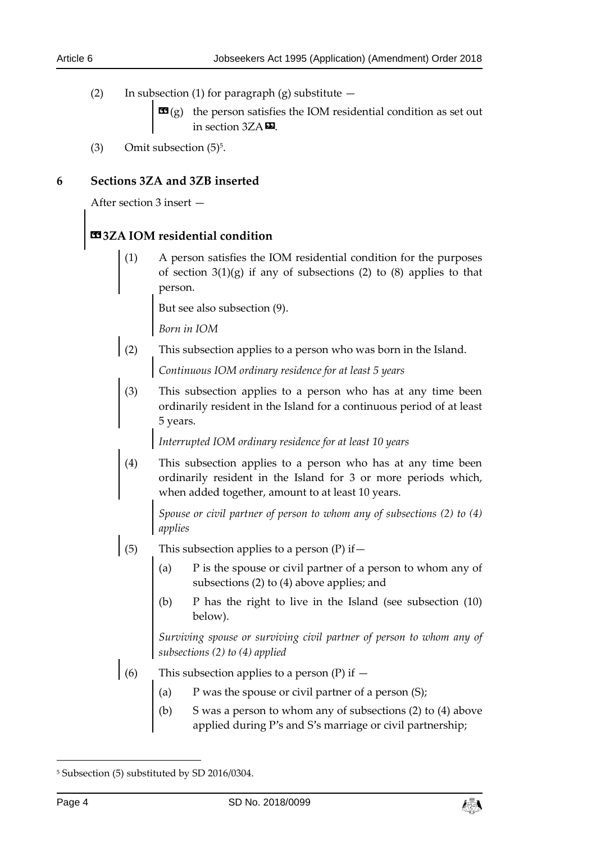(2) In subsection (1) for paragraph (g) substitute  $-$ 

 **the person satisfies the IOM residential condition as set out** in section 3ZA $\boldsymbol{\Xi}$ .

 $(3)$  Omit subsection  $(5)^5$ .

## <span id="page-3-0"></span>**6 Sections 3ZA and 3ZB inserted**

After section 3 insert —

# **«3ZA IOM residential condition**

(1) A person satisfies the IOM residential condition for the purposes of section  $3(1)(g)$  if any of subsections (2) to (8) applies to that person.

But see also subsection (9).

*Born in IOM*

(2) This subsection applies to a person who was born in the Island.

*Continuous IOM ordinary residence for at least 5 years*

(3) This subsection applies to a person who has at any time been ordinarily resident in the Island for a continuous period of at least 5 years.

*Interrupted IOM ordinary residence for at least 10 years*

(4) This subsection applies to a person who has at any time been ordinarily resident in the Island for 3 or more periods which, when added together, amount to at least 10 years.

*Spouse or civil partner of person to whom any of subsections (2) to (4) applies*

- (5) This subsection applies to a person  $(P)$  if  $-$ 
	- (a)  $P$  is the spouse or civil partner of a person to whom any of subsections (2) to (4) above applies; and
	- (b) P has the right to live in the Island (see subsection (10) below).

*Surviving spouse or surviving civil partner of person to whom any of subsections (2) to (4) applied*

- (6) This subsection applies to a person  $(P)$  if  $-$ 
	- (a) P was the spouse or civil partner of a person (S);
	- (b) S was a person to whom any of subsections (2) to (4) above applied during P's and S's marriage or civil partnership;

-



<sup>5</sup> Subsection (5) substituted by SD 2016/0304.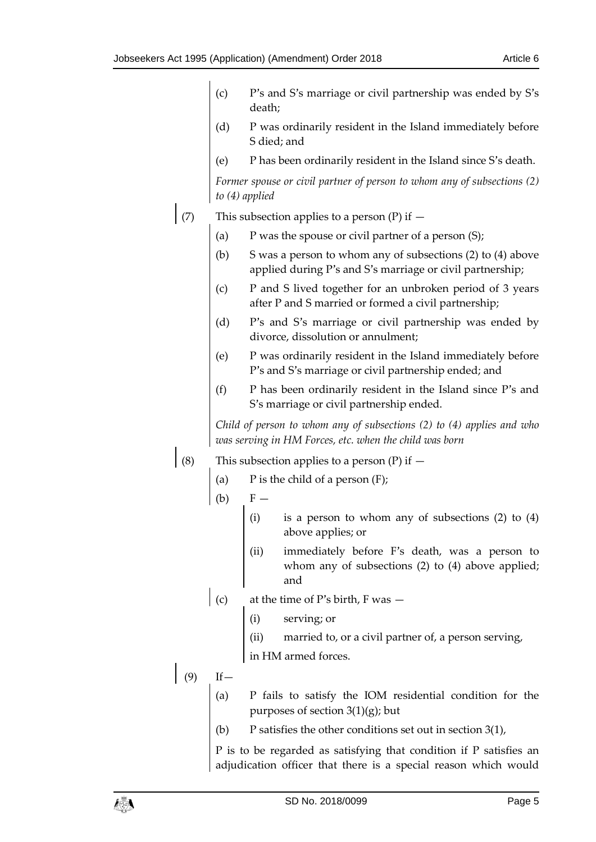| (c) | P's and S's marriage or civil partnership was ended by S's |
|-----|------------------------------------------------------------|
|     | death:                                                     |

- (d) P was ordinarily resident in the Island immediately before S died; and
- (e) P has been ordinarily resident in the Island since S's death.

*Former spouse or civil partner of person to whom any of subsections (2) to (4) applied*

- (7) This subsection applies to a person (P) if  $-$ 
	- (a) P was the spouse or civil partner of a person  $(S)$ ;
	- (b) S was a person to whom any of subsections (2) to (4) above applied during P's and S's marriage or civil partnership;
	- (c) P and S lived together for an unbroken period of 3 years after P and S married or formed a civil partnership;
	- (d) P's and S's marriage or civil partnership was ended by divorce, dissolution or annulment;
	- (e) P was ordinarily resident in the Island immediately before P's and S's marriage or civil partnership ended; and
	- (f) P has been ordinarily resident in the Island since P's and S's marriage or civil partnership ended.

*Child of person to whom any of subsections (2) to (4) applies and who was serving in HM Forces, etc. when the child was born*

- (8) This subsection applies to a person (P) if  $-$ 
	- (a)  $P$  is the child of a person  $(F)$ ;
	- $(b)$   $F -$ 
		- (i) is a person to whom any of subsections (2) to (4) above applies; or
		- (ii) immediately before F's death, was a person to whom any of subsections (2) to (4) above applied; and
	- (c) at the time of P's birth, F was  $-$ 
		- (i) serving; or
		- (ii) married to, or a civil partner of, a person serving,

in HM armed forces.

- $(9)$  If-
	- (a) P fails to satisfy the IOM residential condition for the purposes of section  $3(1)(g)$ ; but
	- (b) P satisfies the other conditions set out in section 3(1),

P is to be regarded as satisfying that condition if P satisfies an adjudication officer that there is a special reason which would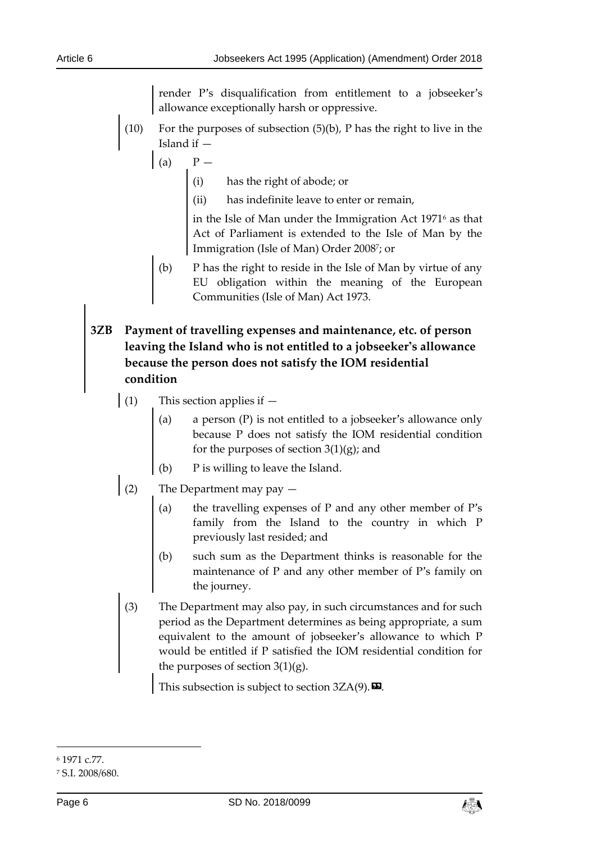render P's disqualification from entitlement to a jobseeker's allowance exceptionally harsh or oppressive.

- (10) For the purposes of subsection  $(5)(b)$ , P has the right to live in the Island if —
	- $(a)$   $P -$ 
		- (i) has the right of abode; or
		- (ii) has indefinite leave to enter or remain,

in the Isle of Man under the Immigration Act 1971<sup>6</sup> as that Act of Parliament is extended to the Isle of Man by the Immigration (Isle of Man) Order 2008<sup>7</sup> ; or

- (b) P has the right to reside in the Isle of Man by virtue of any EU obligation within the meaning of the European Communities (Isle of Man) Act 1973.
- **3ZB Payment of travelling expenses and maintenance, etc. of person leaving the Island who is not entitled to a jobseeker's allowance because the person does not satisfy the IOM residential condition**
	- (1) This section applies if  $$ 
		- a person (P) is not entitled to a jobseeker's allowance only because P does not satisfy the IOM residential condition for the purposes of section  $3(1)(g)$ ; and
		- (b) P is willing to leave the Island.
	- (2) The Department may pay  $-$ 
		- (a) the travelling expenses of P and any other member of P's family from the Island to the country in which P previously last resided; and
		- (b) such sum as the Department thinks is reasonable for the maintenance of P and any other member of P's family on the journey.
		- (3) The Department may also pay, in such circumstances and for such period as the Department determines as being appropriate, a sum equivalent to the amount of jobseeker's allowance to which P would be entitled if P satisfied the IOM residential condition for the purposes of section  $3(1)(g)$ .

This subsection is subject to section  $3ZA(9)$ .

1



<sup>6</sup> 1971 c.77.

<sup>7</sup> S.I. 2008/680.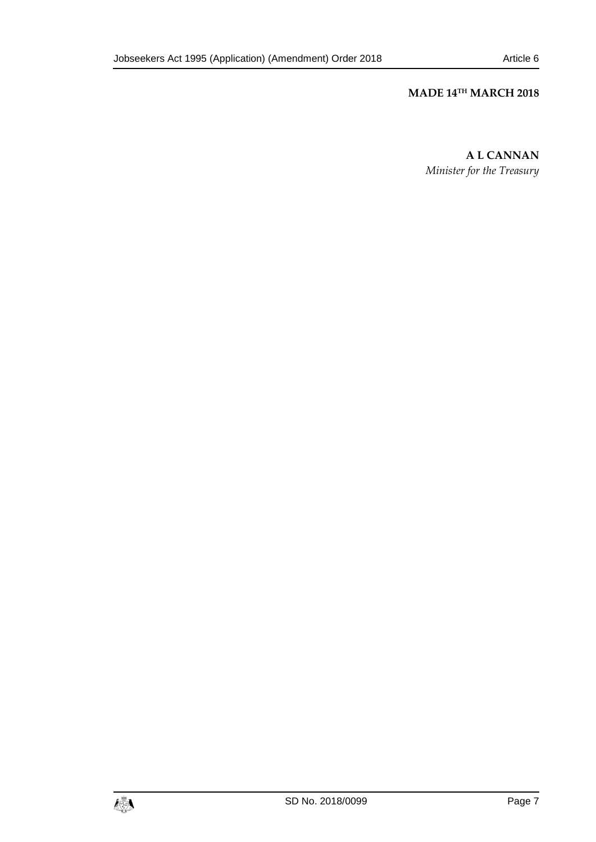# **MADE 14TH MARCH 2018**

**A L CANNAN** *Minister for the Treasury*